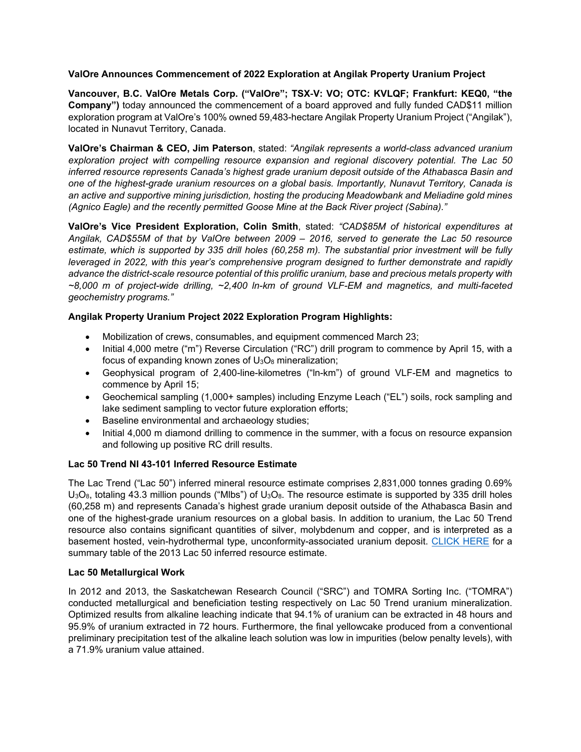## **ValOre Announces Commencement of 2022 Exploration at Angilak Property Uranium Project**

**Vancouver, B.C. ValOre Metals Corp. ("ValOre"; TSX**‐**V: VO; OTC: KVLQF; Frankfurt: KEQ0, "the Company")** today announced the commencement of a board approved and fully funded CAD\$11 million exploration program at ValOre's 100% owned 59,483-hectare Angilak Property Uranium Project ("Angilak"), located in Nunavut Territory, Canada.

**ValOre's Chairman & CEO, Jim Paterson**, stated: *"Angilak represents a world-class advanced uranium exploration project with compelling resource expansion and regional discovery potential. The Lac 50 inferred resource represents Canada's highest grade uranium deposit outside of the Athabasca Basin and one of the highest-grade uranium resources on a global basis. Importantly, Nunavut Territory, Canada is an active and supportive mining jurisdiction, hosting the producing Meadowbank and Meliadine gold mines (Agnico Eagle) and the recently permitted Goose Mine at the Back River project (Sabina)."*

**ValOre's Vice President Exploration, Colin Smith**, stated: *"CAD\$85M of historical expenditures at Angilak, CAD\$55M of that by ValOre between 2009 – 2016, served to generate the Lac 50 resource estimate, which is supported by 335 drill holes (60,258 m). The substantial prior investment will be fully leveraged in 2022, with this year's comprehensive program designed to further demonstrate and rapidly advance the district-scale resource potential of this prolific uranium, base and precious metals property with ~8,000 m of project-wide drilling, ~2,400 ln-km of ground VLF-EM and magnetics, and multi-faceted geochemistry programs."*

## **Angilak Property Uranium Project 2022 Exploration Program Highlights:**

- Mobilization of crews, consumables, and equipment commenced March 23;
- Initial 4,000 metre ("m") Reverse Circulation ("RC") drill program to commence by April 15, with a focus of expanding known zones of  $U_3O_8$  mineralization;
- Geophysical program of 2,400-line-kilometres ("ln-km") of ground VLF-EM and magnetics to commence by April 15;
- Geochemical sampling (1,000+ samples) including Enzyme Leach ("EL") soils, rock sampling and lake sediment sampling to vector future exploration efforts;
- Baseline environmental and archaeology studies;
- Initial 4,000 m diamond drilling to commence in the summer, with a focus on resource expansion and following up positive RC drill results.

## **Lac 50 Trend NI 43-101 Inferred Resource Estimate**

The Lac Trend ("Lac 50") inferred mineral resource estimate comprises 2,831,000 tonnes grading 0.69%  $U_3O_8$ , totaling 43.3 million pounds ("Mlbs") of  $U_3O_8$ . The resource estimate is supported by 335 drill holes (60,258 m) and represents Canada's highest grade uranium deposit outside of the Athabasca Basin and one of the highest-grade uranium resources on a global basis. In addition to uranium, the Lac 50 Trend resource also contains significant quantities of silver, molybdenum and copper, and is interpreted as a basement hosted, vein-hydrothermal type, unconformity-associated uranium deposit. [CLICK HERE](http://valoremetals.com/_resources/reports/Angilak-43101Resource-March2013.pdf) for a summary table of the 2013 Lac 50 inferred resource estimate.

## **Lac 50 Metallurgical Work**

In 2012 and 2013, the Saskatchewan Research Council ("SRC") and TOMRA Sorting Inc. ("TOMRA") conducted metallurgical and beneficiation testing respectively on Lac 50 Trend uranium mineralization. Optimized results from alkaline leaching indicate that 94.1% of uranium can be extracted in 48 hours and 95.9% of uranium extracted in 72 hours. Furthermore, the final yellowcake produced from a conventional preliminary precipitation test of the alkaline leach solution was low in impurities (below penalty levels), with a 71.9% uranium value attained.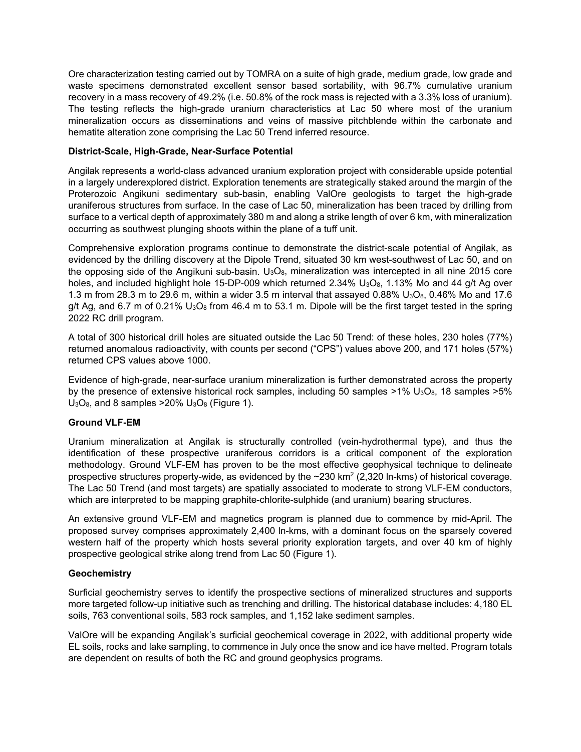Ore characterization testing carried out by TOMRA on a suite of high grade, medium grade, low grade and waste specimens demonstrated excellent sensor based sortability, with 96.7% cumulative uranium recovery in a mass recovery of 49.2% (i.e. 50.8% of the rock mass is rejected with a 3.3% loss of uranium). The testing reflects the high-grade uranium characteristics at Lac 50 where most of the uranium mineralization occurs as disseminations and veins of massive pitchblende within the carbonate and hematite alteration zone comprising the Lac 50 Trend inferred resource.

### **District-Scale, High-Grade, Near-Surface Potential**

Angilak represents a world-class advanced uranium exploration project with considerable upside potential in a largely underexplored district. Exploration tenements are strategically staked around the margin of the Proterozoic Angikuni sedimentary sub-basin, enabling ValOre geologists to target the high-grade uraniferous structures from surface. In the case of Lac 50, mineralization has been traced by drilling from surface to a vertical depth of approximately 380 m and along a strike length of over 6 km, with mineralization occurring as southwest plunging shoots within the plane of a tuff unit.

Comprehensive exploration programs continue to demonstrate the district-scale potential of Angilak, as evidenced by the drilling discovery at the Dipole Trend, situated 30 km west-southwest of Lac 50, and on the opposing side of the Angikuni sub-basin.  $U_3O_8$ , mineralization was intercepted in all nine 2015 core holes, and included highlight hole 15-DP-009 which returned 2.34%  $U_3O_8$ , 1.13% Mo and 44 g/t Ag over 1.3 m from 28.3 m to 29.6 m, within a wider 3.5 m interval that assayed 0.88% U<sub>3</sub>O<sub>8</sub>, 0.46% Mo and 17.6 g/t Ag, and 6.7 m of 0.21%  $U_3O_8$  from 46.4 m to 53.1 m. Dipole will be the first target tested in the spring 2022 RC drill program.

A total of 300 historical drill holes are situated outside the Lac 50 Trend: of these holes, 230 holes (77%) returned anomalous radioactivity, with counts per second ("CPS") values above 200, and 171 holes (57%) returned CPS values above 1000.

Evidence of high-grade, near-surface uranium mineralization is further demonstrated across the property by the presence of extensive historical rock samples, including 50 samples  $>1\%$  U<sub>3</sub>O<sub>8</sub>, 18 samples  $>5\%$  $U_3O_8$ , and 8 samples > 20%  $U_3O_8$  (Figure 1).

## **Ground VLF-EM**

Uranium mineralization at Angilak is structurally controlled (vein-hydrothermal type), and thus the identification of these prospective uraniferous corridors is a critical component of the exploration methodology. Ground VLF-EM has proven to be the most effective geophysical technique to delineate prospective structures property-wide, as evidenced by the  $\sim$ 230 km<sup>2</sup> (2,320 ln-kms) of historical coverage. The Lac 50 Trend (and most targets) are spatially associated to moderate to strong VLF-EM conductors, which are interpreted to be mapping graphite-chlorite-sulphide (and uranium) bearing structures.

An extensive ground VLF-EM and magnetics program is planned due to commence by mid-April. The proposed survey comprises approximately 2,400 ln-kms, with a dominant focus on the sparsely covered western half of the property which hosts several priority exploration targets, and over 40 km of highly prospective geological strike along trend from Lac 50 (Figure 1).

#### **Geochemistry**

Surficial geochemistry serves to identify the prospective sections of mineralized structures and supports more targeted follow-up initiative such as trenching and drilling. The historical database includes: 4,180 EL soils, 763 conventional soils, 583 rock samples, and 1,152 lake sediment samples.

ValOre will be expanding Angilak's surficial geochemical coverage in 2022, with additional property wide EL soils, rocks and lake sampling, to commence in July once the snow and ice have melted. Program totals are dependent on results of both the RC and ground geophysics programs.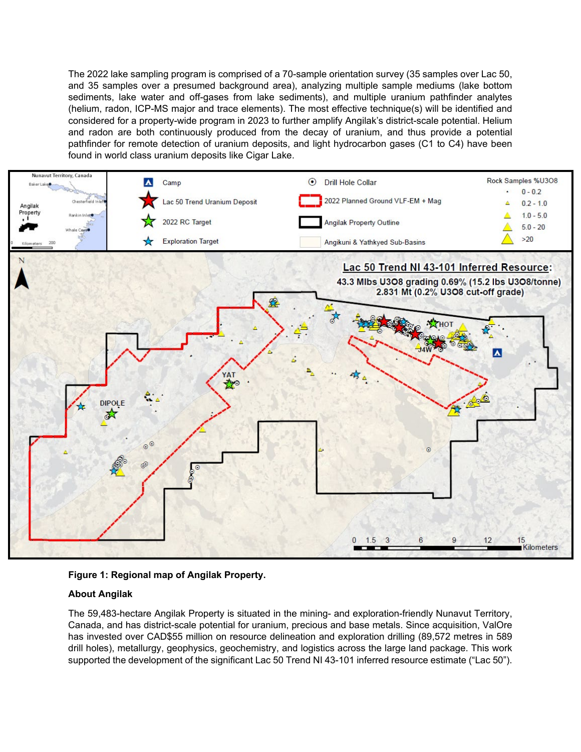The 2022 lake sampling program is comprised of a 70-sample orientation survey (35 samples over Lac 50, and 35 samples over a presumed background area), analyzing multiple sample mediums (lake bottom sediments, lake water and off-gases from lake sediments), and multiple uranium pathfinder analytes (helium, radon, ICP-MS major and trace elements). The most effective technique(s) will be identified and considered for a property-wide program in 2023 to further amplify Angilak's district-scale potential. Helium and radon are both continuously produced from the decay of uranium, and thus provide a potential pathfinder for remote detection of uranium deposits, and light hydrocarbon gases (C1 to C4) have been found in world class uranium deposits like Cigar Lake.



# **Figure 1: Regional map of Angilak Property.**

## **About Angilak**

The 59,483-hectare Angilak Property is situated in the mining- and exploration-friendly Nunavut Territory, Canada, and has district-scale potential for uranium, precious and base metals. Since acquisition, ValOre has invested over CAD\$55 million on resource delineation and exploration drilling (89,572 metres in 589 drill holes), metallurgy, geophysics, geochemistry, and logistics across the large land package. This work supported the development of the significant Lac 50 Trend NI 43-101 inferred resource estimate ("Lac 50").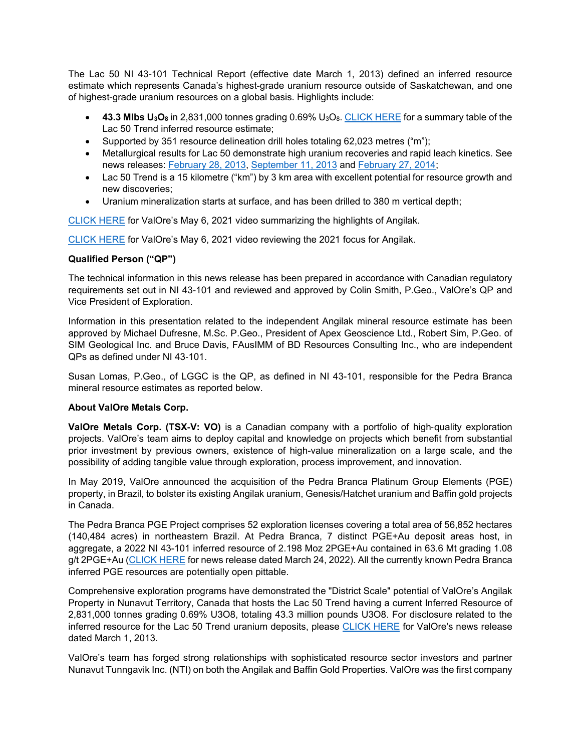The Lac 50 NI 43-101 Technical Report (effective date March 1, 2013) defined an inferred resource estimate which represents Canada's highest-grade uranium resource outside of Saskatchewan, and one of highest-grade uranium resources on a global basis. Highlights include:

- **43.3 Mlbs U3O8** in 2,831,000 tonnes grading 0.69% U3O8. [CLICK HERE](http://valoremetals.com/_resources/reports/Angilak-43101Resource-March2013.pdf) for a summary table of the Lac 50 Trend inferred resource estimate;
- Supported by 351 resource delineation drill holes totaling 62,023 metres ("m");
- Metallurgical results for Lac 50 demonstrate high uranium recoveries and rapid leach kinetics. See news releases: [February 28, 2013,](http://valoremetals.com/news-media/news-releases/archive/index.php?content_id=142) [September 11, 2013](http://valoremetals.com/news-media/news-releases/archive/index.php?content_id=154) and [February 27, 2014;](http://valoremetals.com/news-media/news-releases/archive/index.php?content_id=158)
- Lac 50 Trend is a 15 kilometre ("km") by 3 km area with excellent potential for resource growth and new discoveries;
- Uranium mineralization starts at surface, and has been drilled to 380 m vertical depth;

[CLICK HERE](https://www.youtube.com/watch?v=RhudtZ8UDK8) for ValOre's May 6, 2021 video summarizing the highlights of Angilak.

[CLICK HERE](https://www.youtube.com/watch?v=KfRybxN6so8) for ValOre's May 6, 2021 video reviewing the 2021 focus for Angilak.

## **Qualified Person ("QP")**

The technical information in this news release has been prepared in accordance with Canadian regulatory requirements set out in NI 43-101 and reviewed and approved by Colin Smith, P.Geo., ValOre's QP and Vice President of Exploration.

Information in this presentation related to the independent Angilak mineral resource estimate has been approved by Michael Dufresne, M.Sc. P.Geo., President of Apex Geoscience Ltd., Robert Sim, P.Geo. of SIM Geological Inc. and Bruce Davis, FAusIMM of BD Resources Consulting Inc., who are independent QPs as defined under NI 43‐101.

Susan Lomas, P.Geo., of LGGC is the QP, as defined in NI 43-101, responsible for the Pedra Branca mineral resource estimates as reported below.

## **About ValOre Metals Corp.**

**ValOre Metals Corp. (TSX**‐**V: VO)** is a Canadian company with a portfolio of high‐quality exploration projects. ValOre's team aims to deploy capital and knowledge on projects which benefit from substantial prior investment by previous owners, existence of high-value mineralization on a large scale, and the possibility of adding tangible value through exploration, process improvement, and innovation.

In May 2019, ValOre announced the acquisition of the Pedra Branca Platinum Group Elements (PGE) property, in Brazil, to bolster its existing Angilak uranium, Genesis/Hatchet uranium and Baffin gold projects in Canada.

The Pedra Branca PGE Project comprises 52 exploration licenses covering a total area of 56,852 hectares (140,484 acres) in northeastern Brazil. At Pedra Branca, 7 distinct PGE+Au deposit areas host, in aggregate, a 2022 NI 43-101 inferred resource of 2.198 Moz 2PGE+Au contained in 63.6 Mt grading 1.08 g/t 2PGE+Au [\(CLICK HERE](http://valoremetals.com/news-media/news-releases/2022/valore-expands-pedra-branca-inferred-mineral-resource-by-106-to-22-million-ounces-at-108-gt-2pgeau) for news release dated March 24, 2022). All the currently known Pedra Branca inferred PGE resources are potentially open pittable.

Comprehensive exploration programs have demonstrated the "District Scale" potential of ValOre's Angilak Property in Nunavut Territory, Canada that hosts the Lac 50 Trend having a current Inferred Resource of 2,831,000 tonnes grading 0.69% U3O8, totaling 43.3 million pounds U3O8. For disclosure related to the inferred resource for the Lac 50 Trend uranium deposits, please [CLICK HERE](http://valoremetals.com/news-media/news-releases/archive/index.php?content_id=144) for ValOre's news release dated March 1, 2013.

ValOre's team has forged strong relationships with sophisticated resource sector investors and partner Nunavut Tunngavik Inc. (NTI) on both the Angilak and Baffin Gold Properties. ValOre was the first company